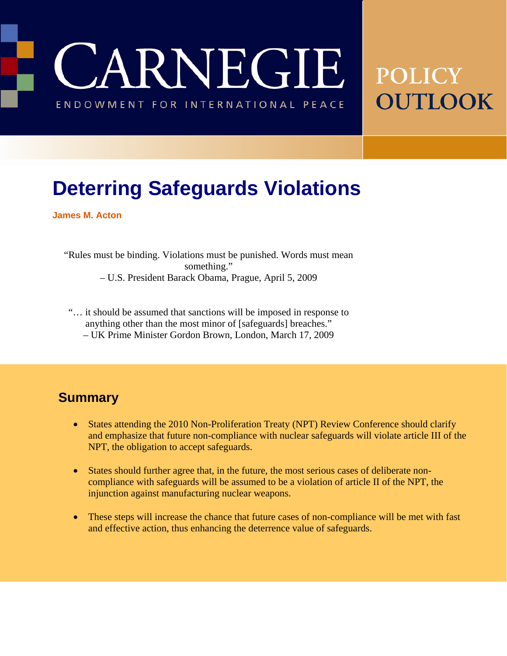**JARNEGIE** ENDOWMENT FOR INTERNATIONAL PEACE

# **POLICY** OUTLOOK

## **Deterring Safeguards Violations**

**James M. Acton** 

"Rules must be binding. Violations must be punished. Words must mean something." – U.S. President Barack Obama, Prague, April 5, 2009

- "… it should be assumed that sanctions will be imposed in response to anything other than the most minor of [safeguards] breaches."
	- UK Prime Minister Gordon Brown, London, March 17, 2009

#### **Summary**

- States attending the 2010 Non-Proliferation Treaty (NPT) Review Conference should clarify and emphasize that future non-compliance with nuclear safeguards will violate article III of the NPT, the obligation to accept safeguards.
- States should further agree that, in the future, the most serious cases of deliberate noncompliance with safeguards will be assumed to be a violation of article II of the NPT, the injunction against manufacturing nuclear weapons.
- These steps will increase the chance that future cases of non-compliance will be met with fast and effective action, thus enhancing the deterrence value of safeguards.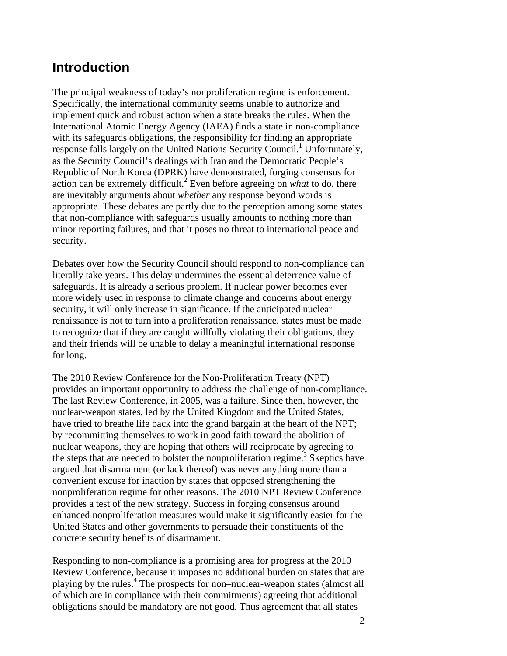#### **Introduction**

The principal weakness of today's nonproliferation regime is enforcement. Specifically, the international community seems unable to authorize and implement quick and robust action when a state breaks the rules. When the International Atomic Energy Agency (IAEA) finds a state in non-compliance with its safeguards obligations, the responsibility for finding an appropriate response falls largely on the United Nations Security Council.<sup>1</sup> Unfortunately, as the Security Council's dealings with Iran and the Democratic People's Republic of North Korea (DPRK) have demonstrated, forging consensus for action can be extremely difficult.<sup>2</sup> Even before agreeing on *what* to do, there are inevitably arguments about *whether* any response beyond words is appropriate. These debates are partly due to the perception among some states that non-compliance with safeguards usually amounts to nothing more than minor reporting failures, and that it poses no threat to international peace and security.

Debates over how the Security Council should respond to non-compliance can literally take years. This delay undermines the essential deterrence value of safeguards. It is already a serious problem. If nuclear power becomes ever more widely used in response to climate change and concerns about energy security, it will only increase in significance. If the anticipated nuclear renaissance is not to turn into a proliferation renaissance, states must be made to recognize that if they are caught willfully violating their obligations, they and their friends will be unable to delay a meaningful international response for long.

The 2010 Review Conference for the Non-Proliferation Treaty (NPT) provides an important opportunity to address the challenge of non-compliance. The last Review Conference, in 2005, was a failure. Since then, however, the nuclear-weapon states, led by the United Kingdom and the United States, have tried to breathe life back into the grand bargain at the heart of the NPT; by recommitting themselves to work in good faith toward the abolition of nuclear weapons, they are hoping that others will reciprocate by agreeing to the steps that are needed to bolster the nonproliferation regime.<sup>3</sup> Skeptics have argued that disarmament (or lack thereof) was never anything more than a convenient excuse for inaction by states that opposed strengthening the nonproliferation regime for other reasons. The 2010 NPT Review Conference provides a test of the new strategy. Success in forging consensus around enhanced nonproliferation measures would make it significantly easier for the United States and other governments to persuade their constituents of the concrete security benefits of disarmament.

Responding to non-compliance is a promising area for progress at the 2010 Review Conference, because it imposes no additional burden on states that are playing by the rules.<sup>4</sup> The prospects for non–nuclear-weapon states (almost all of which are in compliance with their commitments) agreeing that additional obligations should be mandatory are not good. Thus agreement that all states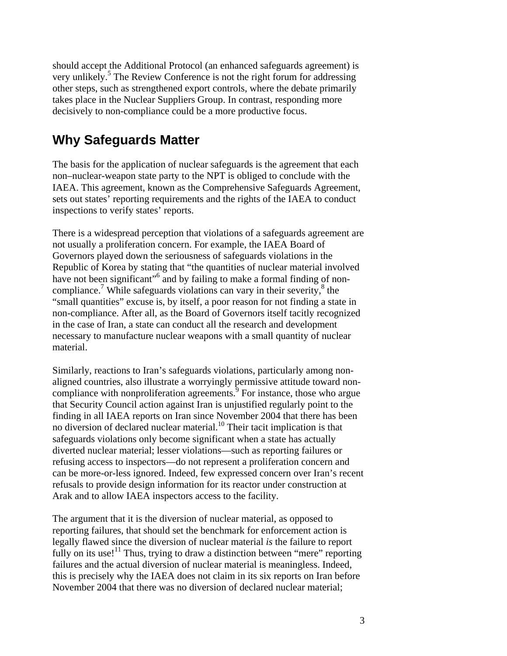should accept the Additional Protocol (an enhanced safeguards agreement) is very unlikely.<sup>5</sup> The Review Conference is not the right forum for addressing other steps, such as strengthened export controls, where the debate primarily takes place in the Nuclear Suppliers Group. In contrast, responding more decisively to non-compliance could be a more productive focus.

#### **Why Safeguards Matter**

The basis for the application of nuclear safeguards is the agreement that each non–nuclear-weapon state party to the NPT is obliged to conclude with the IAEA. This agreement, known as the Comprehensive Safeguards Agreement, sets out states' reporting requirements and the rights of the IAEA to conduct inspections to verify states' reports.

There is a widespread perception that violations of a safeguards agreement are not usually a proliferation concern. For example, the IAEA Board of Governors played down the seriousness of safeguards violations in the Republic of Korea by stating that "the quantities of nuclear material involved have not been significant"<sup>6</sup> and by failing to make a formal finding of noncompliance.<sup>7</sup> While safeguards violations can vary in their severity, $^8$  the "small quantities" excuse is, by itself, a poor reason for not finding a state in non-compliance. After all, as the Board of Governors itself tacitly recognized in the case of Iran, a state can conduct all the research and development necessary to manufacture nuclear weapons with a small quantity of nuclear material.

Similarly, reactions to Iran's safeguards violations, particularly among nonaligned countries, also illustrate a worryingly permissive attitude toward noncompliance with nonproliferation agreements. $\overline{9}$  For instance, those who argue that Security Council action against Iran is unjustified regularly point to the finding in all IAEA reports on Iran since November 2004 that there has been no diversion of declared nuclear material.10 Their tacit implication is that safeguards violations only become significant when a state has actually diverted nuclear material; lesser violations—such as reporting failures or refusing access to inspectors—do not represent a proliferation concern and can be more-or-less ignored. Indeed, few expressed concern over Iran's recent refusals to provide design information for its reactor under construction at Arak and to allow IAEA inspectors access to the facility.

The argument that it is the diversion of nuclear material, as opposed to reporting failures, that should set the benchmark for enforcement action is legally flawed since the diversion of nuclear material *is* the failure to report fully on its use!<sup>11</sup> Thus, trying to draw a distinction between "mere" reporting failures and the actual diversion of nuclear material is meaningless. Indeed, this is precisely why the IAEA does not claim in its six reports on Iran before November 2004 that there was no diversion of declared nuclear material;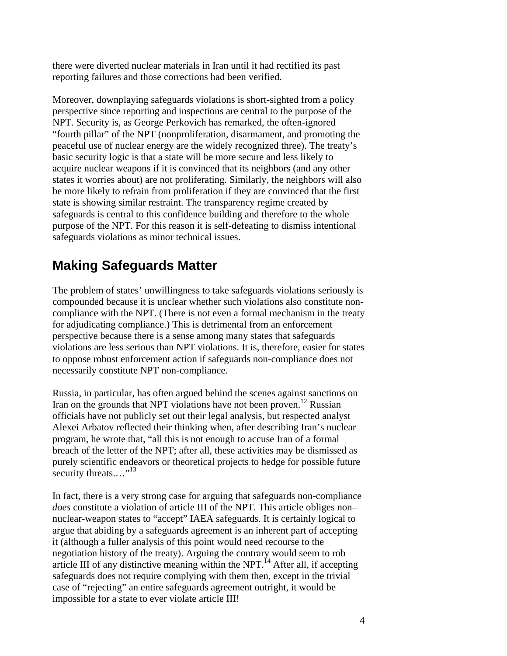there were diverted nuclear materials in Iran until it had rectified its past reporting failures and those corrections had been verified.

Moreover, downplaying safeguards violations is short-sighted from a policy perspective since reporting and inspections are central to the purpose of the NPT. Security is, as George Perkovich has remarked, the often-ignored "fourth pillar" of the NPT (nonproliferation, disarmament, and promoting the peaceful use of nuclear energy are the widely recognized three). The treaty's basic security logic is that a state will be more secure and less likely to acquire nuclear weapons if it is convinced that its neighbors (and any other states it worries about) are not proliferating. Similarly, the neighbors will also be more likely to refrain from proliferation if they are convinced that the first state is showing similar restraint. The transparency regime created by safeguards is central to this confidence building and therefore to the whole purpose of the NPT. For this reason it is self-defeating to dismiss intentional safeguards violations as minor technical issues.

### **Making Safeguards Matter**

The problem of states' unwillingness to take safeguards violations seriously is compounded because it is unclear whether such violations also constitute noncompliance with the NPT. (There is not even a formal mechanism in the treaty for adjudicating compliance.) This is detrimental from an enforcement perspective because there is a sense among many states that safeguards violations are less serious than NPT violations. It is, therefore, easier for states to oppose robust enforcement action if safeguards non-compliance does not necessarily constitute NPT non-compliance.

Russia, in particular, has often argued behind the scenes against sanctions on Iran on the grounds that NPT violations have not been proven.<sup>12</sup> Russian officials have not publicly set out their legal analysis, but respected analyst Alexei Arbatov reflected their thinking when, after describing Iran's nuclear program, he wrote that, "all this is not enough to accuse Iran of a formal breach of the letter of the NPT; after all, these activities may be dismissed as purely scientific endeavors or theoretical projects to hedge for possible future security threats.... $"^{13}$ 

In fact, there is a very strong case for arguing that safeguards non-compliance *does* constitute a violation of article III of the NPT. This article obliges non– nuclear-weapon states to "accept" IAEA safeguards. It is certainly logical to argue that abiding by a safeguards agreement is an inherent part of accepting it (although a fuller analysis of this point would need recourse to the negotiation history of the treaty). Arguing the contrary would seem to rob article III of any distinctive meaning within the NPT.<sup> $14$ </sup> After all, if accepting safeguards does not require complying with them then, except in the trivial case of "rejecting" an entire safeguards agreement outright, it would be impossible for a state to ever violate article III!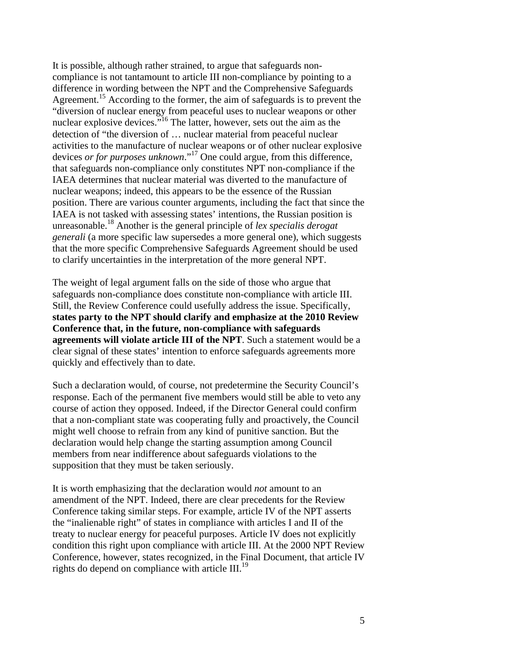It is possible, although rather strained, to argue that safeguards noncompliance is not tantamount to article III non-compliance by pointing to a difference in wording between the NPT and the Comprehensive Safeguards Agreement.<sup>15</sup> According to the former, the aim of safeguards is to prevent the "diversion of nuclear energy from peaceful uses to nuclear weapons or other nuclear explosive devices."16 The latter, however, sets out the aim as the detection of "the diversion of … nuclear material from peaceful nuclear activities to the manufacture of nuclear weapons or of other nuclear explosive devices *or for purposes unknown*."17 One could argue, from this difference, that safeguards non-compliance only constitutes NPT non-compliance if the IAEA determines that nuclear material was diverted to the manufacture of nuclear weapons; indeed, this appears to be the essence of the Russian position. There are various counter arguments, including the fact that since the IAEA is not tasked with assessing states' intentions, the Russian position is unreasonable.18 Another is the general principle of *lex specialis derogat generali* (a more specific law supersedes a more general one), which suggests that the more specific Comprehensive Safeguards Agreement should be used to clarify uncertainties in the interpretation of the more general NPT.

The weight of legal argument falls on the side of those who argue that safeguards non-compliance does constitute non-compliance with article III. Still, the Review Conference could usefully address the issue. Specifically, **states party to the NPT should clarify and emphasize at the 2010 Review Conference that, in the future, non-compliance with safeguards agreements will violate article III of the NPT**. Such a statement would be a clear signal of these states' intention to enforce safeguards agreements more quickly and effectively than to date.

Such a declaration would, of course, not predetermine the Security Council's response. Each of the permanent five members would still be able to veto any course of action they opposed. Indeed, if the Director General could confirm that a non-compliant state was cooperating fully and proactively, the Council might well choose to refrain from any kind of punitive sanction. But the declaration would help change the starting assumption among Council members from near indifference about safeguards violations to the supposition that they must be taken seriously.

It is worth emphasizing that the declaration would *not* amount to an amendment of the NPT. Indeed, there are clear precedents for the Review Conference taking similar steps. For example, article IV of the NPT asserts the "inalienable right" of states in compliance with articles I and II of the treaty to nuclear energy for peaceful purposes. Article IV does not explicitly condition this right upon compliance with article III. At the 2000 NPT Review Conference, however, states recognized, in the Final Document, that article IV rights do depend on compliance with article III.<sup>19</sup>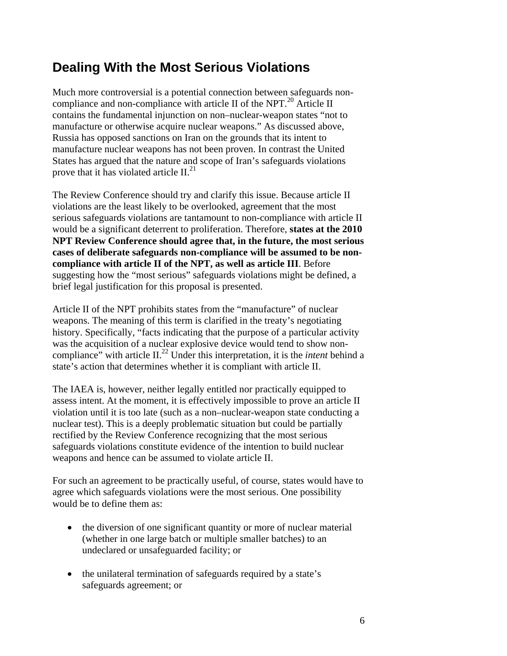## **Dealing With the Most Serious Violations**

Much more controversial is a potential connection between safeguards noncompliance and non-compliance with article II of the NPT. $^{20}$  Article II contains the fundamental injunction on non–nuclear-weapon states "not to manufacture or otherwise acquire nuclear weapons." As discussed above, Russia has opposed sanctions on Iran on the grounds that its intent to manufacture nuclear weapons has not been proven. In contrast the United States has argued that the nature and scope of Iran's safeguards violations prove that it has violated article  $II.^{21}$ .

The Review Conference should try and clarify this issue. Because article II violations are the least likely to be overlooked, agreement that the most serious safeguards violations are tantamount to non-compliance with article II would be a significant deterrent to proliferation. Therefore, **states at the 2010 NPT Review Conference should agree that, in the future, the most serious cases of deliberate safeguards non-compliance will be assumed to be noncompliance with article II of the NPT, as well as article III**. Before suggesting how the "most serious" safeguards violations might be defined, a brief legal justification for this proposal is presented.

Article II of the NPT prohibits states from the "manufacture" of nuclear weapons. The meaning of this term is clarified in the treaty's negotiating history. Specifically, "facts indicating that the purpose of a particular activity was the acquisition of a nuclear explosive device would tend to show noncompliance" with article II.22 Under this interpretation, it is the *intent* behind a state's action that determines whether it is compliant with article II.

The IAEA is, however, neither legally entitled nor practically equipped to assess intent. At the moment, it is effectively impossible to prove an article II violation until it is too late (such as a non–nuclear-weapon state conducting a nuclear test). This is a deeply problematic situation but could be partially rectified by the Review Conference recognizing that the most serious safeguards violations constitute evidence of the intention to build nuclear weapons and hence can be assumed to violate article II.

For such an agreement to be practically useful, of course, states would have to agree which safeguards violations were the most serious. One possibility would be to define them as:

- the diversion of one significant quantity or more of nuclear material (whether in one large batch or multiple smaller batches) to an undeclared or unsafeguarded facility; or
- the unilateral termination of safeguards required by a state's safeguards agreement; or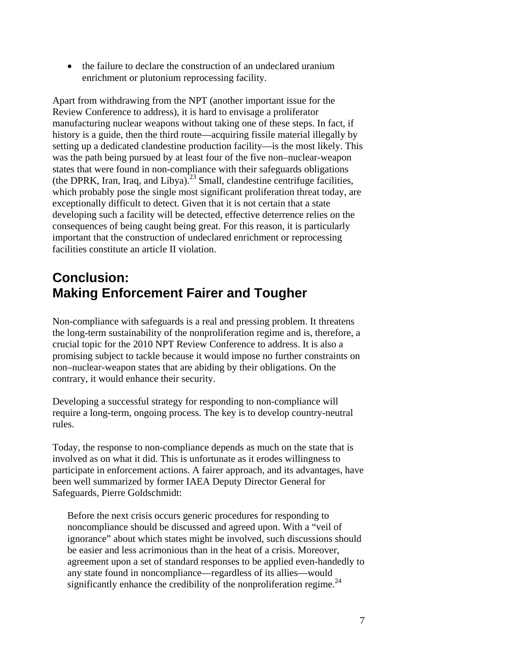• the failure to declare the construction of an undeclared uranium enrichment or plutonium reprocessing facility.

Apart from withdrawing from the NPT (another important issue for the Review Conference to address), it is hard to envisage a proliferator manufacturing nuclear weapons without taking one of these steps. In fact, if history is a guide, then the third route—acquiring fissile material illegally by setting up a dedicated clandestine production facility—is the most likely. This was the path being pursued by at least four of the five non–nuclear-weapon states that were found in non-compliance with their safeguards obligations (the DPRK, Iran, Iraq, and Libya).<sup>23</sup> Small, clandestine centrifuge facilities, which probably pose the single most significant proliferation threat today, are exceptionally difficult to detect. Given that it is not certain that a state developing such a facility will be detected, effective deterrence relies on the consequences of being caught being great. For this reason, it is particularly important that the construction of undeclared enrichment or reprocessing facilities constitute an article II violation.

### **Conclusion: Making Enforcement Fairer and Tougher**

Non-compliance with safeguards is a real and pressing problem. It threatens the long-term sustainability of the nonproliferation regime and is, therefore, a crucial topic for the 2010 NPT Review Conference to address. It is also a promising subject to tackle because it would impose no further constraints on non–nuclear-weapon states that are abiding by their obligations. On the contrary, it would enhance their security.

Developing a successful strategy for responding to non-compliance will require a long-term, ongoing process. The key is to develop country-neutral rules.

Today, the response to non-compliance depends as much on the state that is involved as on what it did. This is unfortunate as it erodes willingness to participate in enforcement actions. A fairer approach, and its advantages, have been well summarized by former IAEA Deputy Director General for Safeguards, Pierre Goldschmidt:

Before the next crisis occurs generic procedures for responding to noncompliance should be discussed and agreed upon. With a "veil of ignorance" about which states might be involved, such discussions should be easier and less acrimonious than in the heat of a crisis. Moreover, agreement upon a set of standard responses to be applied even-handedly to any state found in noncompliance—regardless of its allies—would significantly enhance the credibility of the nonproliferation regime. $^{24}$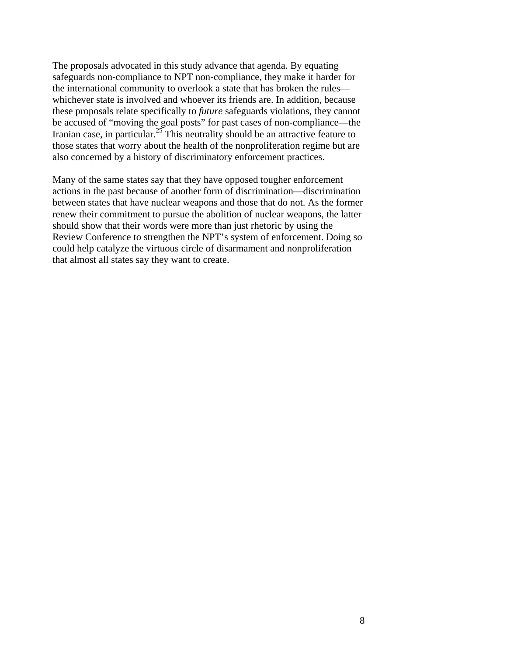The proposals advocated in this study advance that agenda. By equating safeguards non-compliance to NPT non-compliance, they make it harder for the international community to overlook a state that has broken the rules whichever state is involved and whoever its friends are. In addition, because these proposals relate specifically to *future* safeguards violations, they cannot be accused of "moving the goal posts" for past cases of non-compliance—the Iranian case, in particular.<sup>25</sup> This neutrality should be an attractive feature to those states that worry about the health of the nonproliferation regime but are also concerned by a history of discriminatory enforcement practices.

Many of the same states say that they have opposed tougher enforcement actions in the past because of another form of discrimination—discrimination between states that have nuclear weapons and those that do not. As the former renew their commitment to pursue the abolition of nuclear weapons, the latter should show that their words were more than just rhetoric by using the Review Conference to strengthen the NPT's system of enforcement. Doing so could help catalyze the virtuous circle of disarmament and nonproliferation that almost all states say they want to create.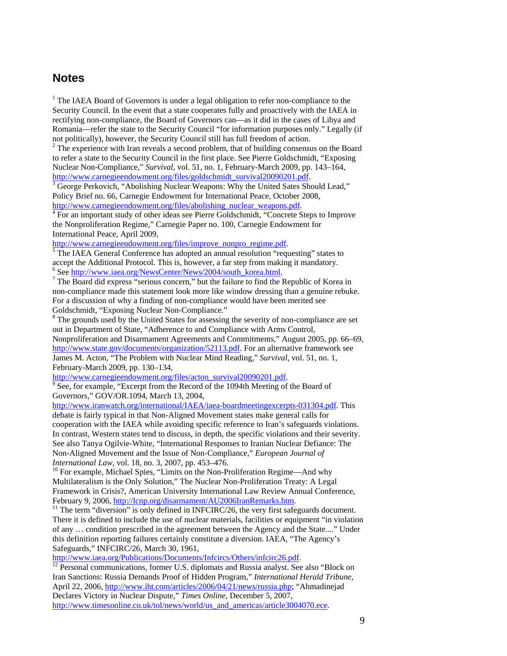#### **Notes**

<sup>1</sup> The IAEA Board of Governors is under a legal obligation to refer non-compliance to the Security Council. In the event that a state cooperates fully and proactively with the IAEA in rectifying non-compliance, the Board of Governors can—as it did in the cases of Libya and Romania—refer the state to the Security Council "for information purposes only." Legally (if not politically), however, the Security Council still has full freedom of action.

 $2^2$  The experience with Iran reveals a second problem, that of building consensus on the Board to refer a state to the Security Council in the first place. See Pierre Goldschmidt, "Exposing Nuclear Non-Compliance," *Survival*, vol. 51, no. 1, February-March 2009, pp. 143–164, http://www.carnegieendowment.org/files/goldschmidt\_survival20090201.pdf.

 $\frac{3}{3}$  George Perkovich, "Abolishing Nuclear Weapons: Why the United Sates Should Lead," Policy Brief no. 66, Carnegie Endowment for International Peace, October 2008, http://www.carnegieendowment.org/files/abolishing\_nuclear\_weapons.pdf.

<sup>4</sup> For an important study of other ideas see Pierre Goldschmidt, "Concrete Steps to Improve the Nonproliferation Regime," Carnegie Paper no. 100, Carnegie Endowment for International Peace, April 2009,

http://www.carnegieendowment.org/files/improve\_nonpro\_regime.pdf.

 $\overline{\text{S}}$  The IAEA General Conference has adopted an annual resolution "requesting" states to accept the Additional Protocol. This is, however, a far step from making it mandatory. <sup>6</sup> See http://www.iaea.org/NewsCenter/News/2004/south\_korea.html.

 $7$  The Board did express "serious concern," but the failure to find the Republic of Korea in non-compliance made this statement look more like window dressing than a genuine rebuke. For a discussion of why a finding of non-compliance would have been merited see Goldschmidt, "Exposing Nuclear Non-Compliance."

<sup>8</sup> The grounds used by the United States for assessing the severity of non-compliance are set out in Department of State, "Adherence to and Compliance with Arms Control, Nonproliferation and Disarmament Agreements and Commitments," August 2005, pp. 66–69, http://www.state.gov/documents/organization/52113.pdf. For an alternative framework see James M. Acton, "The Problem with Nuclear Mind Reading," *Survival*, vol. 51, no. 1, February-March 2009, pp. 130–134,

http://www.carnegieendowment.org/files/acton\_survival20090201.pdf.

 $9^9$  See, for example, "Excerpt from the Record of the 1094th Meeting of the Board of Governors," GOV/OR.1094, March 13, 2004,

http://www.iranwatch.org/international/IAEA/iaea-boardmeetingexcerpts-031304.pdf. This debate is fairly typical in that Non-Aligned Movement states make general calls for cooperation with the IAEA while avoiding specific reference to Iran's safeguards violations. In contrast, Western states tend to discuss, in depth, the specific violations and their severity. See also Tanya Ogilvie-White, "International Responses to Iranian Nuclear Defiance: The Non-Aligned Movement and the Issue of Non-Compliance," *European Journal of International Law*, vol. 18, no. 3, 2007, pp. 453–476.<br><sup>10</sup> For example, Michael Spies, "Limits on the Non-Proliferation Regime—And why

Multilateralism is the Only Solution," The Nuclear Non-Proliferation Treaty: A Legal Framework in Crisis?, American University International Law Review Annual Conference, February 9, 2006, http://lcnp.org/disarmament/AU2006IranRemarks.htm.<br><sup>11</sup> The term "diversion" is only defined in INFCIRC/26, the very first safeguards document.

There it is defined to include the use of nuclear materials, facilities or equipment "in violation of any … condition prescribed in the agreement between the Agency and the State...." Under this definition reporting failures certainly constitute a diversion. IAEA, "The Agency's Safeguards," INFCIRC/26, March 30, 1961,<br>http://www.jaea.org/Publications/Documents/Infcircs/Others/infcirc26.pdf.

 $\frac{12}{12}$  Personal communications, former U.S. diplomats and Russia analyst. See also "Block on Iran Sanctions: Russia Demands Proof of Hidden Program," *International Herald Tribune*, April 22, 2006, http://www.iht.com/articles/2006/04/21/news/russia.php; "Ahmadinejad Declares Victory in Nuclear Dispute," *Times Online*, December 5, 2007, http://www.timesonline.co.uk/tol/news/world/us\_and\_americas/article3004070.ece.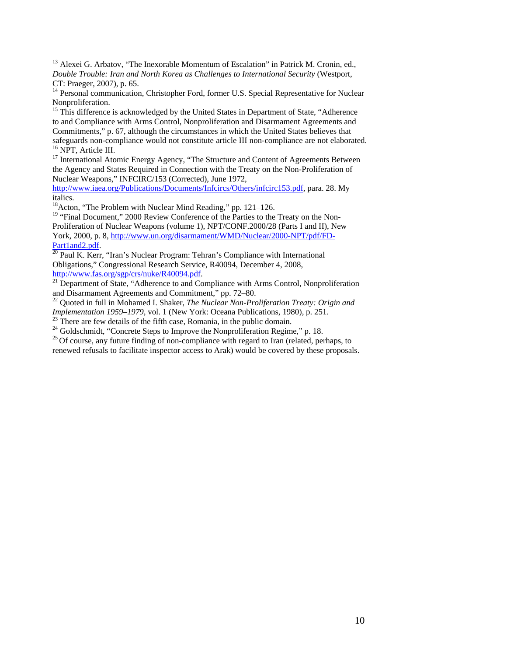<sup>13</sup> Alexei G. Arbatov, "The Inexorable Momentum of Escalation" in Patrick M. Cronin, ed., *Double Trouble: Iran and North Korea as Challenges to International Security* (Westport, CT: Praeger, 2007), p. 65.

<sup>14</sup> Personal communication, Christopher Ford, former U.S. Special Representative for Nuclear Nonproliferation.

<sup>15</sup> This difference is acknowledged by the United States in Department of State, "Adherence to and Compliance with Arms Control, Nonproliferation and Disarmament Agreements and Commitments," p. 67, although the circumstances in which the United States believes that safeguards non-compliance would not constitute article III non-compliance are not elaborated. 16 NPT, Article III.

<sup>17</sup> International Atomic Energy Agency, "The Structure and Content of Agreements Between the Agency and States Required in Connection with the Treaty on the Non-Proliferation of Nuclear Weapons," INFCIRC/153 (Corrected), June 1972,

http://www.iaea.org/Publications/Documents/Infcircs/Others/infcirc153.pdf, para. 28. My italics.

 $18$ Acton, "The Problem with Nuclear Mind Reading," pp. 121–126.

<sup>19</sup> "Final Document," 2000 Review Conference of the Parties to the Treaty on the Non-Proliferation of Nuclear Weapons (volume 1), NPT/CONF.2000/28 (Parts I and II), New York, 2000, p. 8, http://www.un.org/disarmament/WMD/Nuclear/2000-NPT/pdf/FD-

Part1and2.pdf.<br><sup>20</sup> Paul K. Kerr, "Iran's Nuclear Program: Tehran's Compliance with International Obligations," Congressional Research Service, R40094, December 4, 2008,

http://www.fas.org/sgp/crs/nuke/R40094.pdf.<br><sup>21</sup> Department of State, "Adherence to and Compliance with Arms Control, Nonproliferation and Disarmament Agreements and Commitment," pp. 72–80.

<sup>22</sup> Quoted in full in Mohamed I. Shaker, *The Nuclear Non-Proliferation Treaty: Origin and Implementation 1959–1979*, vol. 1 (New York: Oceana Publications, 1980), p. 251.

<sup>23</sup> There are few details of the fifth case, Romania, in the public domain.<br><sup>24</sup> Goldschmidt, "Concrete Steps to Improve the Nonproliferation Regime," p. 18.

 $^{25}$  Of course, any future finding of non-compliance with regard to Iran (related, perhaps, to

renewed refusals to facilitate inspector access to Arak) would be covered by these proposals.